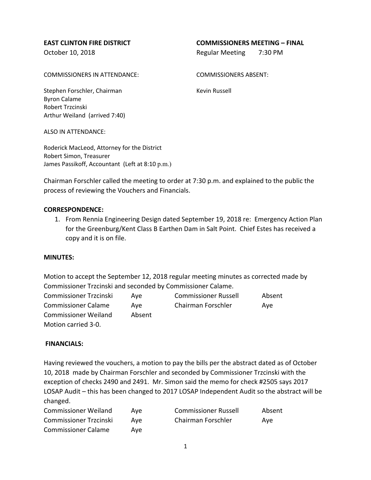## **EAST CLINTON FIRE DISTRICT COMMISSIONERS MEETING – FINAL**

October 10, 2018 **Regular Meeting 7:30 PM** 

COMMISSIONERS IN ATTENDANCE: COMMISSIONERS ABSENT:

Stephen Forschler, Chairman Kevin Russell Byron Calame Robert Trzcinski Arthur Weiland (arrived 7:40)

ALSO IN ATTENDANCE:

Roderick MacLeod, Attorney for the District Robert Simon, Treasurer James Passikoff, Accountant (Left at 8:10 p.m.)

Chairman Forschler called the meeting to order at 7:30 p.m. and explained to the public the process of reviewing the Vouchers and Financials.

## **CORRESPONDENCE:**

1. From Rennia Engineering Design dated September 19, 2018 re: Emergency Action Plan for the Greenburg/Kent Class B Earthen Dam in Salt Point. Chief Estes has received a copy and it is on file.

#### **MINUTES:**

Motion to accept the September 12, 2018 regular meeting minutes as corrected made by Commissioner Trzcinski and seconded by Commissioner Calame.

| Commissioner Trzcinski      | Ave    | <b>Commissioner Russell</b> | Absent |
|-----------------------------|--------|-----------------------------|--------|
| <b>Commissioner Calame</b>  | Ave    | Chairman Forschler          | Ave    |
| <b>Commissioner Weiland</b> | Absent |                             |        |
| Motion carried 3-0.         |        |                             |        |

## **FINANCIALS:**

Having reviewed the vouchers, a motion to pay the bills per the abstract dated as of October 10, 2018 made by Chairman Forschler and seconded by Commissioner Trzcinski with the exception of checks 2490 and 2491. Mr. Simon said the memo for check #2505 says 2017 LOSAP Audit – this has been changed to 2017 LOSAP Independent Audit so the abstract will be changed.

| <b>Commissioner Weiland</b>   | Ave | <b>Commissioner Russell</b> | Absent |
|-------------------------------|-----|-----------------------------|--------|
| <b>Commissioner Trzcinski</b> | Ave | Chairman Forschler          | Ave    |
| <b>Commissioner Calame</b>    | Ave |                             |        |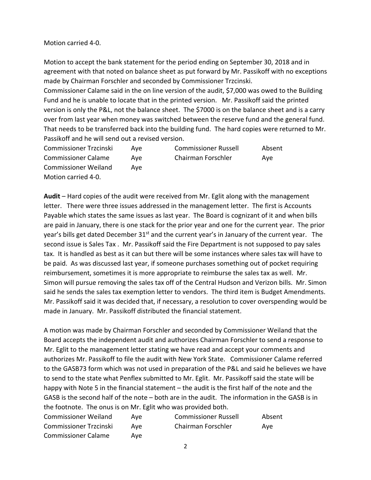Motion carried 4-0.

Motion to accept the bank statement for the period ending on September 30, 2018 and in agreement with that noted on balance sheet as put forward by Mr. Passikoff with no exceptions made by Chairman Forschler and seconded by Commissioner Trzcinski.

Commissioner Calame said in the on line version of the audit, \$7,000 was owed to the Building Fund and he is unable to locate that in the printed version. Mr. Passikoff said the printed version is only the P&L, not the balance sheet. The \$7000 is on the balance sheet and is a carry over from last year when money was switched between the reserve fund and the general fund. That needs to be transferred back into the building fund. The hard copies were returned to Mr. Passikoff and he will send out a revised version.

| <b>Commissioner Trzcinski</b> | Ave | <b>Commissioner Russell</b> | Absent |
|-------------------------------|-----|-----------------------------|--------|
| <b>Commissioner Calame</b>    | Ave | Chairman Forschler          | Ave    |
| <b>Commissioner Weiland</b>   | Ave |                             |        |
| Motion carried 4-0.           |     |                             |        |

**Audit** – Hard copies of the audit were received from Mr. Eglit along with the management letter. There were three issues addressed in the management letter. The first is Accounts Payable which states the same issues as last year. The Board is cognizant of it and when bills are paid in January, there is one stack for the prior year and one for the current year. The prior year's bills get dated December 31<sup>st</sup> and the current year's in January of the current year. The second issue is Sales Tax . Mr. Passikoff said the Fire Department is not supposed to pay sales tax. It is handled as best as it can but there will be some instances where sales tax will have to be paid. As was discussed last year, if someone purchases something out of pocket requiring reimbursement, sometimes it is more appropriate to reimburse the sales tax as well. Mr. Simon will pursue removing the sales tax off of the Central Hudson and Verizon bills. Mr. Simon said he sends the sales tax exemption letter to vendors. The third item is Budget Amendments. Mr. Passikoff said it was decided that, if necessary, a resolution to cover overspending would be made in January. Mr. Passikoff distributed the financial statement.

A motion was made by Chairman Forschler and seconded by Commissioner Weiland that the Board accepts the independent audit and authorizes Chairman Forschler to send a response to Mr. Eglit to the management letter stating we have read and accept your comments and authorizes Mr. Passikoff to file the audit with New York State. Commissioner Calame referred to the GASB73 form which was not used in preparation of the P&L and said he believes we have to send to the state what Penflex submitted to Mr. Eglit. Mr. Passikoff said the state will be happy with Note 5 in the financial statement – the audit is the first half of the note and the GASB is the second half of the note – both are in the audit. The information in the GASB is in the footnote. The onus is on Mr. Eglit who was provided both.

| <b>Commissioner Weiland</b>   | Ave | <b>Commissioner Russell</b> | Absent |
|-------------------------------|-----|-----------------------------|--------|
| <b>Commissioner Trzcinski</b> | Ave | Chairman Forschler          | Ave    |
| <b>Commissioner Calame</b>    | Ave |                             |        |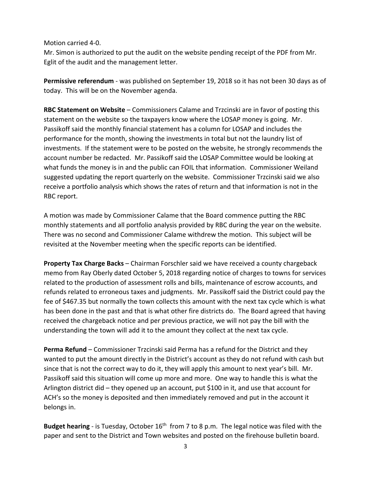Motion carried 4-0.

Mr. Simon is authorized to put the audit on the website pending receipt of the PDF from Mr. Eglit of the audit and the management letter.

**Permissive referendum** - was published on September 19, 2018 so it has not been 30 days as of today. This will be on the November agenda.

**RBC Statement on Website** – Commissioners Calame and Trzcinski are in favor of posting this statement on the website so the taxpayers know where the LOSAP money is going. Mr. Passikoff said the monthly financial statement has a column for LOSAP and includes the performance for the month, showing the investments in total but not the laundry list of investments. If the statement were to be posted on the website, he strongly recommends the account number be redacted. Mr. Passikoff said the LOSAP Committee would be looking at what funds the money is in and the public can FOIL that information. Commissioner Weiland suggested updating the report quarterly on the website. Commissioner Trzcinski said we also receive a portfolio analysis which shows the rates of return and that information is not in the RBC report.

A motion was made by Commissioner Calame that the Board commence putting the RBC monthly statements and all portfolio analysis provided by RBC during the year on the website. There was no second and Commissioner Calame withdrew the motion. This subject will be revisited at the November meeting when the specific reports can be identified.

**Property Tax Charge Backs** – Chairman Forschler said we have received a county chargeback memo from Ray Oberly dated October 5, 2018 regarding notice of charges to towns for services related to the production of assessment rolls and bills, maintenance of escrow accounts, and refunds related to erroneous taxes and judgments. Mr. Passikoff said the District could pay the fee of \$467.35 but normally the town collects this amount with the next tax cycle which is what has been done in the past and that is what other fire districts do. The Board agreed that having received the chargeback notice and per previous practice, we will not pay the bill with the understanding the town will add it to the amount they collect at the next tax cycle.

**Perma Refund** – Commissioner Trzcinski said Perma has a refund for the District and they wanted to put the amount directly in the District's account as they do not refund with cash but since that is not the correct way to do it, they will apply this amount to next year's bill. Mr. Passikoff said this situation will come up more and more. One way to handle this is what the Arlington district did – they opened up an account, put \$100 in it, and use that account for ACH's so the money is deposited and then immediately removed and put in the account it belongs in.

**Budget hearing** - is Tuesday, October 16<sup>th</sup> from 7 to 8 p.m. The legal notice was filed with the paper and sent to the District and Town websites and posted on the firehouse bulletin board.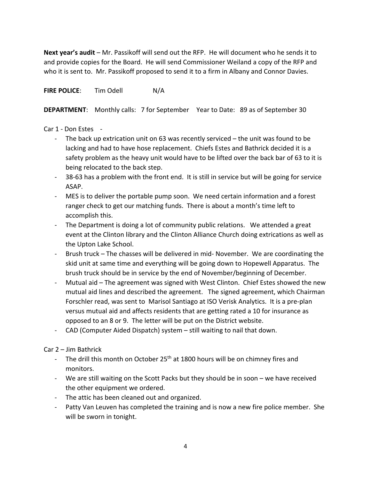**Next year's audit** – Mr. Passikoff will send out the RFP. He will document who he sends it to and provide copies for the Board. He will send Commissioner Weiland a copy of the RFP and who it is sent to. Mr. Passikoff proposed to send it to a firm in Albany and Connor Davies.

**FIRE POLICE:** Tim Odell N/A

**DEPARTMENT**: Monthly calls: 7 for September Year to Date: 89 as of September 30

# Car 1 - Don Estes -

- The back up extrication unit on 63 was recently serviced the unit was found to be lacking and had to have hose replacement. Chiefs Estes and Bathrick decided it is a safety problem as the heavy unit would have to be lifted over the back bar of 63 to it is being relocated to the back step.
- 38-63 has a problem with the front end. It is still in service but will be going for service ASAP.
- MES is to deliver the portable pump soon. We need certain information and a forest ranger check to get our matching funds. There is about a month's time left to accomplish this.
- The Department is doing a lot of community public relations. We attended a great event at the Clinton library and the Clinton Alliance Church doing extrications as well as the Upton Lake School.
- Brush truck The chasses will be delivered in mid- November. We are coordinating the skid unit at same time and everything will be going down to Hopewell Apparatus. The brush truck should be in service by the end of November/beginning of December.
- Mutual aid The agreement was signed with West Clinton. Chief Estes showed the new mutual aid lines and described the agreement. The signed agreement, which Chairman Forschler read, was sent to Marisol Santiago at ISO Verisk Analytics. It is a pre-plan versus mutual aid and affects residents that are getting rated a 10 for insurance as opposed to an 8 or 9. The letter will be put on the District website.
- CAD (Computer Aided Dispatch) system still waiting to nail that down.

Car 2 – Jim Bathrick

- The drill this month on October 25<sup>th</sup> at 1800 hours will be on chimney fires and monitors.
- We are still waiting on the Scott Packs but they should be in soon we have received the other equipment we ordered.
- The attic has been cleaned out and organized.
- Patty Van Leuven has completed the training and is now a new fire police member. She will be sworn in tonight.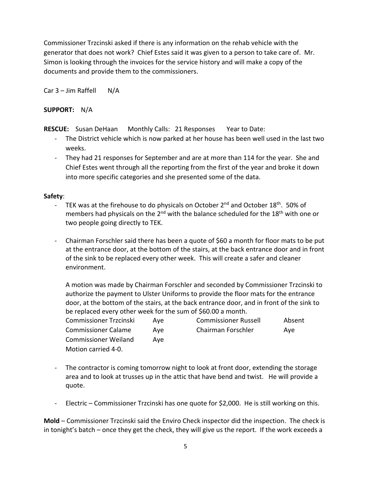Commissioner Trzcinski asked if there is any information on the rehab vehicle with the generator that does not work? Chief Estes said it was given to a person to take care of. Mr. Simon is looking through the invoices for the service history and will make a copy of the documents and provide them to the commissioners.

Car  $3 -$  Jim Raffell N/A

## **SUPPORT:** N/A

**RESCUE:** Susan DeHaan Monthly Calls: 21 Responses Year to Date:

- The District vehicle which is now parked at her house has been well used in the last two weeks.
- They had 21 responses for September and are at more than 114 for the year. She and Chief Estes went through all the reporting from the first of the year and broke it down into more specific categories and she presented some of the data.

## **Safety**:

- TEK was at the firehouse to do physicals on October 2<sup>nd</sup> and October 18<sup>th</sup>. 50% of members had physicals on the  $2^{nd}$  with the balance scheduled for the  $18<sup>th</sup>$  with one or two people going directly to TEK.
- Chairman Forschler said there has been a quote of \$60 a month for floor mats to be put at the entrance door, at the bottom of the stairs, at the back entrance door and in front of the sink to be replaced every other week. This will create a safer and cleaner environment.

A motion was made by Chairman Forschler and seconded by Commissioner Trzcinski to authorize the payment to Ulster Uniforms to provide the floor mats for the entrance door, at the bottom of the stairs, at the back entrance door, and in front of the sink to be replaced every other week for the sum of \$60.00 a month.

| <b>Commissioner Trzcinski</b> | Ave | <b>Commissioner Russell</b> | Absent |
|-------------------------------|-----|-----------------------------|--------|
| <b>Commissioner Calame</b>    | Ave | Chairman Forschler          | Ave    |
| <b>Commissioner Weiland</b>   | Ave |                             |        |
| Motion carried 4-0.           |     |                             |        |

- The contractor is coming tomorrow night to look at front door, extending the storage area and to look at trusses up in the attic that have bend and twist. He will provide a quote.
- Electric Commissioner Trzcinski has one quote for \$2,000. He is still working on this.

**Mold** – Commissioner Trzcinski said the Enviro Check inspector did the inspection. The check is in tonight's batch – once they get the check, they will give us the report. If the work exceeds a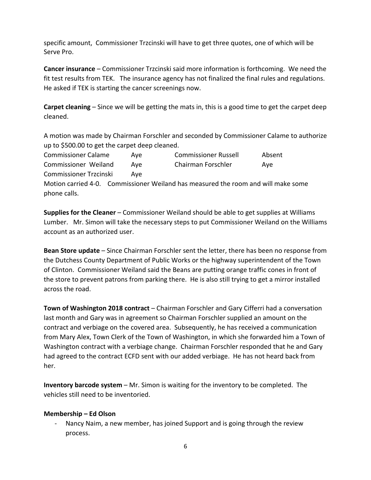specific amount, Commissioner Trzcinski will have to get three quotes, one of which will be Serve Pro.

**Cancer insurance** – Commissioner Trzcinski said more information is forthcoming. We need the fit test results from TEK. The insurance agency has not finalized the final rules and regulations. He asked if TEK is starting the cancer screenings now.

**Carpet cleaning** – Since we will be getting the mats in, this is a good time to get the carpet deep cleaned.

A motion was made by Chairman Forschler and seconded by Commissioner Calame to authorize up to \$500.00 to get the carpet deep cleaned.

Commissioner Calame Aye Commissioner Russell Absent Commissioner Weiland Aye Chairman Forschler Aye Commissioner Trzcinski Aye Motion carried 4-0. Commissioner Weiland has measured the room and will make some phone calls.

**Supplies for the Cleaner** – Commissioner Weiland should be able to get supplies at Williams Lumber. Mr. Simon will take the necessary steps to put Commissioner Weiland on the Williams account as an authorized user.

**Bean Store update** – Since Chairman Forschler sent the letter, there has been no response from the Dutchess County Department of Public Works or the highway superintendent of the Town of Clinton. Commissioner Weiland said the Beans are putting orange traffic cones in front of the store to prevent patrons from parking there. He is also still trying to get a mirror installed across the road.

**Town of Washington 2018 contract** – Chairman Forschler and Gary Cifferri had a conversation last month and Gary was in agreement so Chairman Forschler supplied an amount on the contract and verbiage on the covered area. Subsequently, he has received a communication from Mary Alex, Town Clerk of the Town of Washington, in which she forwarded him a Town of Washington contract with a verbiage change. Chairman Forschler responded that he and Gary had agreed to the contract ECFD sent with our added verbiage. He has not heard back from her.

**Inventory barcode system** – Mr. Simon is waiting for the inventory to be completed. The vehicles still need to be inventoried.

## **Membership – Ed Olson**

Nancy Naim, a new member, has joined Support and is going through the review process.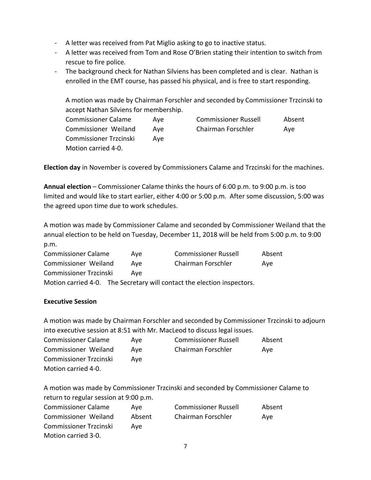- A letter was received from Pat Miglio asking to go to inactive status.
- A letter was received from Tom and Rose O'Brien stating their intention to switch from rescue to fire police.
- The background check for Nathan Silviens has been completed and is clear. Nathan is enrolled in the EMT course, has passed his physical, and is free to start responding.

A motion was made by Chairman Forschler and seconded by Commissioner Trzcinski to accept Nathan Silviens for membership.

| <b>Commissioner Calame</b>    | Ave | <b>Commissioner Russell</b> | Absent |
|-------------------------------|-----|-----------------------------|--------|
| Commissioner Weiland          | Ave | Chairman Forschler          | Ave    |
| <b>Commissioner Trzcinski</b> | Ave |                             |        |
| Motion carried 4-0.           |     |                             |        |

**Election day** in November is covered by Commissioners Calame and Trzcinski for the machines.

**Annual election** – Commissioner Calame thinks the hours of 6:00 p.m. to 9:00 p.m. is too limited and would like to start earlier, either 4:00 or 5:00 p.m. After some discussion, 5:00 was the agreed upon time due to work schedules.

A motion was made by Commissioner Calame and seconded by Commissioner Weiland that the annual election to be held on Tuesday, December 11, 2018 will be held from 5:00 p.m. to 9:00 p.m.

| <b>Commissioner Calame</b>    | Ave | <b>Commissioner Russell</b>                                             | Absent |
|-------------------------------|-----|-------------------------------------------------------------------------|--------|
| Commissioner Weiland          | Ave | Chairman Forschler                                                      | Ave    |
| <b>Commissioner Trzcinski</b> | Ave |                                                                         |        |
|                               |     | Motion carried 4-0. The Secretary will contact the election inspectors. |        |

## **Executive Session**

A motion was made by Chairman Forschler and seconded by Commissioner Trzcinski to adjourn into executive session at 8:51 with Mr. MacLeod to discuss legal issues.

| <b>Commissioner Calame</b>    | Ave | <b>Commissioner Russell</b> | Absent |
|-------------------------------|-----|-----------------------------|--------|
| Commissioner Weiland          | Ave | Chairman Forschler          | Ave    |
| <b>Commissioner Trzcinski</b> | Ave |                             |        |
| Motion carried 4-0.           |     |                             |        |

A motion was made by Commissioner Trzcinski and seconded by Commissioner Calame to return to regular session at 9:00 p.m.

| <b>Commissioner Calame</b>    | Ave    | <b>Commissioner Russell</b> | Absent |
|-------------------------------|--------|-----------------------------|--------|
| Commissioner Weiland          | Absent | Chairman Forschler          | Ave    |
| <b>Commissioner Trzcinski</b> | Ave    |                             |        |
| Motion carried 3-0.           |        |                             |        |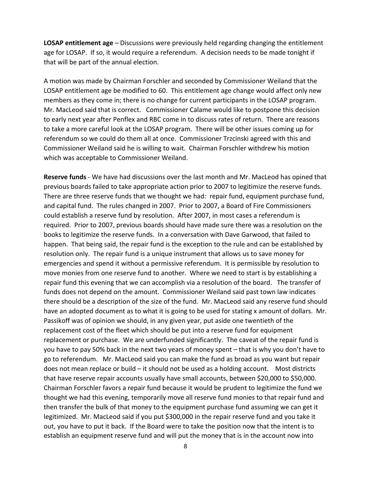**LOSAP entitlement age** – Discussions were previously held regarding changing the entitlement age for LOSAP. If so, it would require a referendum. A decision needs to be made tonight if that will be part of the annual election.

A motion was made by Chairman Forschler and seconded by Commissioner Weiland that the LOSAP entitlement age be modified to 60. This entitlement age change would affect only new members as they come in; there is no change for current participants in the LOSAP program. Mr. MacLeod said that is correct. Commissioner Calame would like to postpone this decision to early next year after Penflex and RBC come in to discuss rates of return. There are reasons to take a more careful look at the LOSAP program. There will be other issues coming up for referendum so we could do them all at once. Commissioner Trzcinski agreed with this and Commissioner Weiland said he is willing to wait. Chairman Forschler withdrew his motion which was acceptable to Commissioner Weiland.

**Reserve funds** - We have had discussions over the last month and Mr. MacLeod has opined that previous boards failed to take appropriate action prior to 2007 to legitimize the reserve funds. There are three reserve funds that we thought we had: repair fund, equipment purchase fund, and capital fund. The rules changed in 2007. Prior to 2007, a Board of Fire Commissioners could establish a reserve fund by resolution. After 2007, in most cases a referendum is required. Prior to 2007, previous boards should have made sure there was a resolution on the books to legitimize the reserve funds. In a conversation with Dave Garwood, that failed to happen. That being said, the repair fund is the exception to the rule and can be established by resolution only. The repair fund is a unique instrument that allows us to save money for emergencies and spend it without a permissive referendum. It is permissible by resolution to move monies from one reserve fund to another. Where we need to start is by establishing a repair fund this evening that we can accomplish via a resolution of the board. The transfer of funds does not depend on the amount. Commissioner Weiland said past town law indicates there should be a description of the size of the fund. Mr. MacLeod said any reserve fund should have an adopted document as to what it is going to be used for stating x amount of dollars. Mr. Passikoff was of opinion we should, in any given year, put aside one twentieth of the replacement cost of the fleet which should be put into a reserve fund for equipment replacement or purchase. We are underfunded significantly. The caveat of the repair fund is you have to pay 50% back in the next two years of money spent – that is why you don't have to go to referendum. Mr. MacLeod said you can make the fund as broad as you want but repair does not mean replace or build – it should not be used as a holding account. Most districts that have reserve repair accounts usually have small accounts, between \$20,000 to \$50,000. Chairman Forschler favors a repair fund because it would be prudent to legitimize the fund we thought we had this evening, temporarily move all reserve fund monies to that repair fund and then transfer the bulk of that money to the equipment purchase fund assuming we can get it legitimized. Mr. MacLeod said if you put \$300,000 in the repair reserve fund and you take it out, you have to put it back. If the Board were to take the position now that the intent is to establish an equipment reserve fund and will put the money that is in the account now into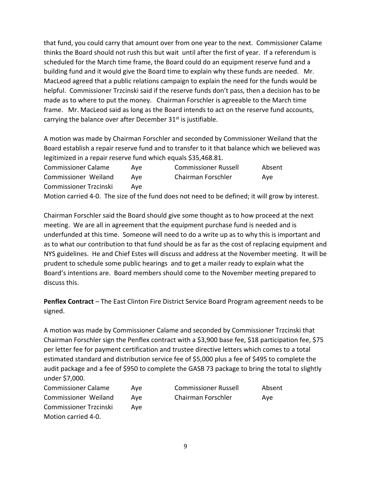that fund, you could carry that amount over from one year to the next. Commissioner Calame thinks the Board should not rush this but wait until after the first of year. If a referendum is scheduled for the March time frame, the Board could do an equipment reserve fund and a building fund and it would give the Board time to explain why these funds are needed. Mr. MacLeod agreed that a public relations campaign to explain the need for the funds would be helpful. Commissioner Trzcinski said if the reserve funds don't pass, then a decision has to be made as to where to put the money. Chairman Forschler is agreeable to the March time frame. Mr. MacLeod said as long as the Board intends to act on the reserve fund accounts, carrying the balance over after December  $31<sup>st</sup>$  is justifiable.

A motion was made by Chairman Forschler and seconded by Commissioner Weiland that the Board establish a repair reserve fund and to transfer to it that balance which we believed was legitimized in a repair reserve fund which equals \$35,468.81.

| <b>Commissioner Calame</b>                                                                      | Ave | <b>Commissioner Russell</b> | Absent |  |  |
|-------------------------------------------------------------------------------------------------|-----|-----------------------------|--------|--|--|
| Commissioner Weiland                                                                            | Ave | Chairman Forschler          | Ave    |  |  |
| <b>Commissioner Trzcinski</b>                                                                   | Ave |                             |        |  |  |
| Motion carried 4-0. The size of the fund does not need to be defined; it will grow by interest. |     |                             |        |  |  |

Chairman Forschler said the Board should give some thought as to how proceed at the next meeting. We are all in agreement that the equipment purchase fund is needed and is underfunded at this time. Someone will need to do a write up as to why this is important and as to what our contribution to that fund should be as far as the cost of replacing equipment and NYS guidelines. He and Chief Estes will discuss and address at the November meeting. It will be prudent to schedule some public hearings and to get a mailer ready to explain what the Board's intentions are. Board members should come to the November meeting prepared to discuss this.

**Penflex Contract** – The East Clinton Fire District Service Board Program agreement needs to be signed.

A motion was made by Commissioner Calame and seconded by Commissioner Trzcinski that Chairman Forschler sign the Penflex contract with a \$3,900 base fee, \$18 participation fee, \$75 per letter fee for payment certification and trustee directive letters which comes to a total estimated standard and distribution service fee of \$5,000 plus a fee of \$495 to complete the audit package and a fee of \$950 to complete the GASB 73 package to bring the total to slightly under \$7,000.

| <b>Commissioner Calame</b> | Ave | <b>Commissioner Russell</b> | Absent |
|----------------------------|-----|-----------------------------|--------|
| Commissioner Weiland       | Ave | Chairman Forschler          | Ave    |
| Commissioner Trzcinski     | Ave |                             |        |
| Motion carried 4-0.        |     |                             |        |